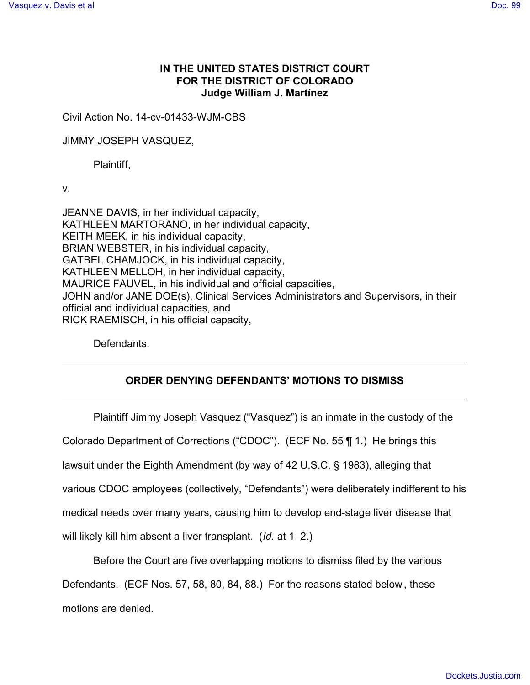# **IN THE UNITED STATES DISTRICT COURT FOR THE DISTRICT OF COLORADO Judge William J. Martínez**

Civil Action No. 14-cv-01433-WJM-CBS

JIMMY JOSEPH VASQUEZ,

Plaintiff,

v.

JEANNE DAVIS, in her individual capacity, KATHLEEN MARTORANO, in her individual capacity, KEITH MEEK, in his individual capacity, BRIAN WEBSTER, in his individual capacity, GATBEL CHAMJOCK, in his individual capacity, KATHLEEN MELLOH, in her individual capacity, MAURICE FAUVEL, in his individual and official capacities, JOHN and/or JANE DOE(s), Clinical Services Administrators and Supervisors, in their official and individual capacities, and RICK RAEMISCH, in his official capacity,

Defendants.

# **ORDER DENYING DEFENDANTS' MOTIONS TO DISMISS**

Plaintiff Jimmy Joseph Vasquez ("Vasquez") is an inmate in the custody of the

Colorado Department of Corrections ("CDOC"). (ECF No. 55 ¶ 1.) He brings this

lawsuit under the Eighth Amendment (by way of 42 U.S.C. § 1983), alleging that

various CDOC employees (collectively, "Defendants") were deliberately indifferent to his

medical needs over many years, causing him to develop end-stage liver disease that

will likely kill him absent a liver transplant. (*Id.* at 1–2.)

Before the Court are five overlapping motions to dismiss filed by the various

Defendants. (ECF Nos. 57, 58, 80, 84, 88.) For the reasons stated below, these

motions are denied.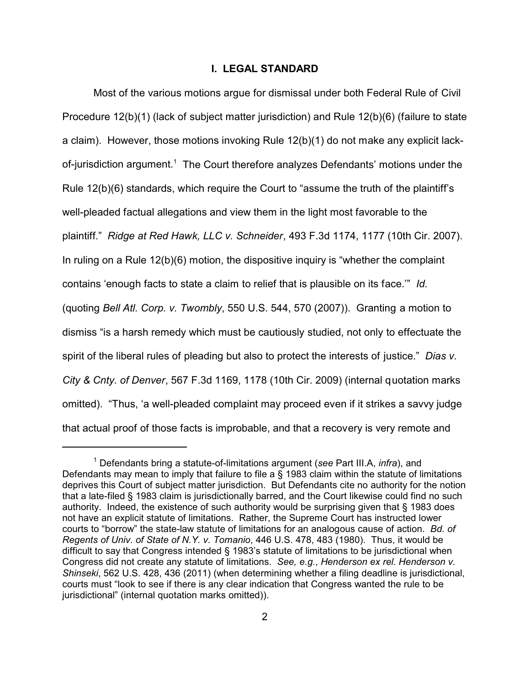## **I. LEGAL STANDARD**

Most of the various motions argue for dismissal under both Federal Rule of Civil Procedure 12(b)(1) (lack of subject matter jurisdiction) and Rule 12(b)(6) (failure to state a claim). However, those motions invoking Rule 12(b)(1) do not make any explicit lackof-jurisdiction argument.<sup>1</sup> The Court therefore analyzes Defendants' motions under the Rule 12(b)(6) standards, which require the Court to "assume the truth of the plaintiff's well-pleaded factual allegations and view them in the light most favorable to the plaintiff." *Ridge at Red Hawk, LLC v. Schneider*, 493 F.3d 1174, 1177 (10th Cir. 2007). In ruling on a Rule 12(b)(6) motion, the dispositive inquiry is "whether the complaint contains 'enough facts to state a claim to relief that is plausible on its face.'" *Id.* (quoting *Bell Atl. Corp. v. Twombly*, 550 U.S. 544, 570 (2007)). Granting a motion to dismiss "is a harsh remedy which must be cautiously studied, not only to effectuate the spirit of the liberal rules of pleading but also to protect the interests of justice." *Dias v. City & Cnty. of Denver*, 567 F.3d 1169, 1178 (10th Cir. 2009) (internal quotation marks omitted). "Thus, 'a well-pleaded complaint may proceed even if it strikes a savvy judge that actual proof of those facts is improbable, and that a recovery is very remote and

<sup>1</sup> Defendants bring a statute-of-limitations argument (*see* Part III.A, *infra*), and Defendants may mean to imply that failure to file a § 1983 claim within the statute of limitations deprives this Court of subject matter jurisdiction. But Defendants cite no authority for the notion that a late-filed § 1983 claim is jurisdictionally barred, and the Court likewise could find no such authority. Indeed, the existence of such authority would be surprising given that § 1983 does not have an explicit statute of limitations. Rather, the Supreme Court has instructed lower courts to "borrow" the state-law statute of limitations for an analogous cause of action. *Bd. of Regents of Univ. of State of N.Y. v. Tomanio*, 446 U.S. 478, 483 (1980). Thus, it would be difficult to say that Congress intended § 1983's statute of limitations to be jurisdictional when Congress did not create any statute of limitations. *See, e.g.*, *Henderson ex rel. Henderson v. Shinseki*, 562 U.S. 428, 436 (2011) (when determining whether a filing deadline is jurisdictional, courts must "look to see if there is any clear indication that Congress wanted the rule to be jurisdictional" (internal quotation marks omitted)).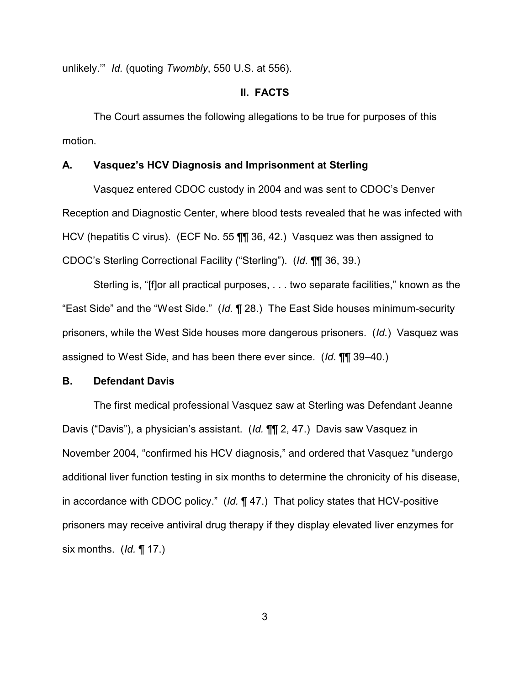unlikely.'" *Id.* (quoting *Twombly*, 550 U.S. at 556).

## **II. FACTS**

The Court assumes the following allegations to be true for purposes of this motion.

### **A. Vasquez's HCV Diagnosis and Imprisonment at Sterling**

Vasquez entered CDOC custody in 2004 and was sent to CDOC's Denver Reception and Diagnostic Center, where blood tests revealed that he was infected with HCV (hepatitis C virus). (ECF No. 55 ¶¶ 36, 42.) Vasquez was then assigned to CDOC's Sterling Correctional Facility ("Sterling"). (*Id.* ¶¶ 36, 39.)

Sterling is, "[f]or all practical purposes, . . . two separate facilities," known as the "East Side" and the "West Side." (*Id.* ¶ 28.) The East Side houses minimum-security prisoners, while the West Side houses more dangerous prisoners. (*Id.*) Vasquez was assigned to West Side, and has been there ever since. (*Id.* ¶¶ 39–40.)

## **B. Defendant Davis**

The first medical professional Vasquez saw at Sterling was Defendant Jeanne Davis ("Davis"), a physician's assistant. (*Id.* ¶¶ 2, 47.) Davis saw Vasquez in November 2004, "confirmed his HCV diagnosis," and ordered that Vasquez "undergo additional liver function testing in six months to determine the chronicity of his disease, in accordance with CDOC policy." (*Id.* ¶ 47.) That policy states that HCV-positive prisoners may receive antiviral drug therapy if they display elevated liver enzymes for six months. (*Id.* ¶ 17.)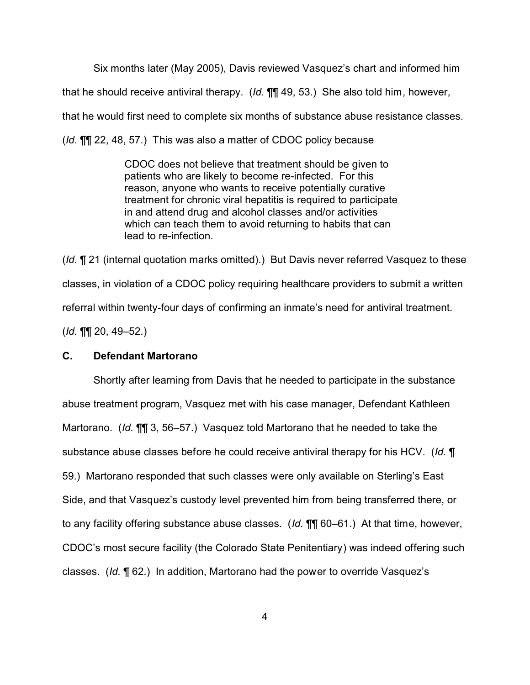Six months later (May 2005), Davis reviewed Vasquez's chart and informed him that he should receive antiviral therapy. (*Id.* ¶¶ 49, 53.) She also told him, however, that he would first need to complete six months of substance abuse resistance classes. (*Id.* ¶¶ 22, 48, 57.) This was also a matter of CDOC policy because

> CDOC does not believe that treatment should be given to patients who are likely to become re-infected. For this reason, anyone who wants to receive potentially curative treatment for chronic viral hepatitis is required to participate in and attend drug and alcohol classes and/or activities which can teach them to avoid returning to habits that can lead to re-infection.

(*Id.* ¶ 21 (internal quotation marks omitted).) But Davis never referred Vasquez to these classes, in violation of a CDOC policy requiring healthcare providers to submit a written referral within twenty-four days of confirming an inmate's need for antiviral treatment. (*Id.* ¶¶ 20, 49–52.)

## **C. Defendant Martorano**

Shortly after learning from Davis that he needed to participate in the substance abuse treatment program, Vasquez met with his case manager, Defendant Kathleen Martorano. (*Id.* ¶¶ 3, 56–57.) Vasquez told Martorano that he needed to take the substance abuse classes before he could receive antiviral therapy for his HCV. (*Id.* ¶ 59.) Martorano responded that such classes were only available on Sterling's East Side, and that Vasquez's custody level prevented him from being transferred there, or to any facility offering substance abuse classes. (*Id.* ¶¶ 60–61.) At that time, however, CDOC's most secure facility (the Colorado State Penitentiary) was indeed offering such classes. (*Id.* ¶ 62.) In addition, Martorano had the power to override Vasquez's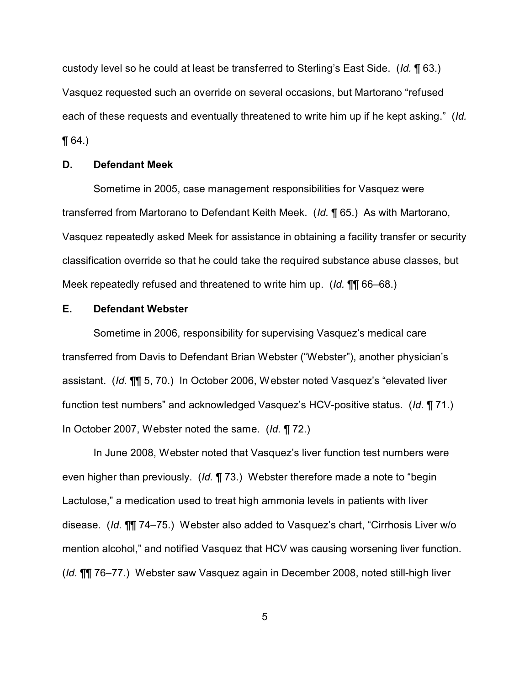custody level so he could at least be transferred to Sterling's East Side. (*Id.* ¶ 63.) Vasquez requested such an override on several occasions, but Martorano "refused each of these requests and eventually threatened to write him up if he kept asking." (*Id.*  $\P(64)$ 

### **D. Defendant Meek**

Sometime in 2005, case management responsibilities for Vasquez were transferred from Martorano to Defendant Keith Meek. (*Id.* ¶ 65.) As with Martorano, Vasquez repeatedly asked Meek for assistance in obtaining a facility transfer or security classification override so that he could take the required substance abuse classes, but Meek repeatedly refused and threatened to write him up. (*Id.* ¶¶ 66–68.)

## **E. Defendant Webster**

Sometime in 2006, responsibility for supervising Vasquez's medical care transferred from Davis to Defendant Brian Webster ("Webster"), another physician's assistant. (*Id.* ¶¶ 5, 70.) In October 2006, Webster noted Vasquez's "elevated liver function test numbers" and acknowledged Vasquez's HCV-positive status. (*Id.* ¶ 71.) In October 2007, Webster noted the same. (*Id.* ¶ 72.)

In June 2008, Webster noted that Vasquez's liver function test numbers were even higher than previously. (*Id.* ¶ 73.) Webster therefore made a note to "begin Lactulose," a medication used to treat high ammonia levels in patients with liver disease. (*Id.* ¶¶ 74–75.) Webster also added to Vasquez's chart, "Cirrhosis Liver w/o mention alcohol," and notified Vasquez that HCV was causing worsening liver function. (*Id.* ¶¶ 76–77.) Webster saw Vasquez again in December 2008, noted still-high liver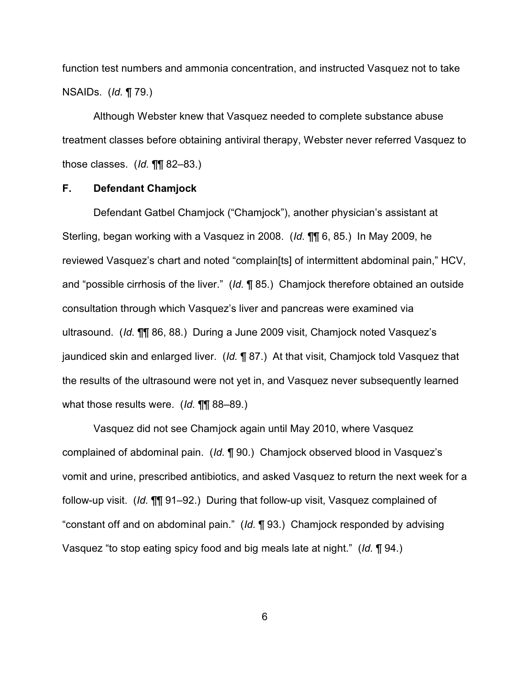function test numbers and ammonia concentration, and instructed Vasquez not to take NSAIDs. (*Id.* ¶ 79.)

Although Webster knew that Vasquez needed to complete substance abuse treatment classes before obtaining antiviral therapy, Webster never referred Vasquez to those classes. (*Id.* ¶¶ 82–83.)

## **F. Defendant Chamjock**

Defendant Gatbel Chamjock ("Chamjock"), another physician's assistant at Sterling, began working with a Vasquez in 2008. (*Id.* ¶¶ 6, 85.) In May 2009, he reviewed Vasquez's chart and noted "complain[ts] of intermittent abdominal pain," HCV, and "possible cirrhosis of the liver." (*Id.* ¶ 85.) Chamjock therefore obtained an outside consultation through which Vasquez's liver and pancreas were examined via ultrasound. (*Id.* ¶¶ 86, 88.) During a June 2009 visit, Chamjock noted Vasquez's jaundiced skin and enlarged liver. (*Id.* ¶ 87.) At that visit, Chamjock told Vasquez that the results of the ultrasound were not yet in, and Vasquez never subsequently learned what those results were. (*Id.* ¶¶ 88–89.)

Vasquez did not see Chamjock again until May 2010, where Vasquez complained of abdominal pain. (*Id.* ¶ 90.) Chamjock observed blood in Vasquez's vomit and urine, prescribed antibiotics, and asked Vasquez to return the next week for a follow-up visit. (*Id.* ¶¶ 91–92.) During that follow-up visit, Vasquez complained of "constant off and on abdominal pain." (*Id.* ¶ 93.) Chamjock responded by advising Vasquez "to stop eating spicy food and big meals late at night." (*Id.* ¶ 94.)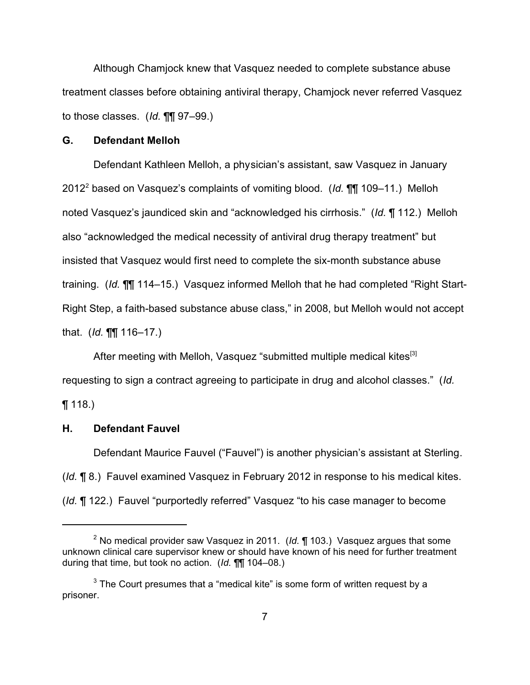Although Chamjock knew that Vasquez needed to complete substance abuse treatment classes before obtaining antiviral therapy, Chamjock never referred Vasquez to those classes. (*Id.* ¶¶ 97–99.)

## **G. Defendant Melloh**

Defendant Kathleen Melloh, a physician's assistant, saw Vasquez in January 2012<sup>2</sup> based on Vasquez's complaints of vomiting blood. (*Id.* ¶¶ 109–11.) Melloh noted Vasquez's jaundiced skin and "acknowledged his cirrhosis." (*Id.* ¶ 112.) Melloh also "acknowledged the medical necessity of antiviral drug therapy treatment" but insisted that Vasquez would first need to complete the six-month substance abuse training. (*Id.* ¶¶ 114–15.) Vasquez informed Melloh that he had completed "Right Start-Right Step, a faith-based substance abuse class," in 2008, but Melloh would not accept that. (*Id.* ¶¶ 116–17.)

After meeting with Melloh, Vasquez "submitted multiple medical kites<sup>[3]</sup> requesting to sign a contract agreeing to participate in drug and alcohol classes." (*Id.*

 $\P(118.)$ 

## **H. Defendant Fauvel**

Defendant Maurice Fauvel ("Fauvel") is another physician's assistant at Sterling. (*Id.* ¶ 8.) Fauvel examined Vasquez in February 2012 in response to his medical kites. (*Id.* ¶ 122.) Fauvel "purportedly referred" Vasquez "to his case manager to become

<sup>2</sup> No medical provider saw Vasquez in 2011. (*Id.* ¶ 103.) Vasquez argues that some unknown clinical care supervisor knew or should have known of his need for further treatment during that time, but took no action. (*Id.* ¶¶ 104–08.)

 $3$  The Court presumes that a "medical kite" is some form of written request by a prisoner.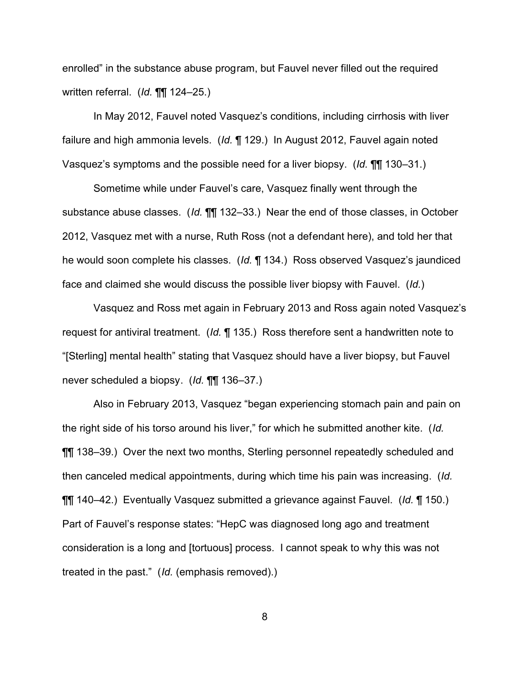enrolled" in the substance abuse program, but Fauvel never filled out the required written referral. (*Id.* ¶¶ 124–25.)

In May 2012, Fauvel noted Vasquez's conditions, including cirrhosis with liver failure and high ammonia levels. (*Id.* ¶ 129.) In August 2012, Fauvel again noted Vasquez's symptoms and the possible need for a liver biopsy. (*Id.* ¶¶ 130–31.)

Sometime while under Fauvel's care, Vasquez finally went through the substance abuse classes. (*Id.* ¶¶ 132–33.) Near the end of those classes, in October 2012, Vasquez met with a nurse, Ruth Ross (not a defendant here), and told her that he would soon complete his classes. (*Id.* ¶ 134.) Ross observed Vasquez's jaundiced face and claimed she would discuss the possible liver biopsy with Fauvel. (*Id.*)

Vasquez and Ross met again in February 2013 and Ross again noted Vasquez's request for antiviral treatment. (*Id.* ¶ 135.) Ross therefore sent a handwritten note to "[Sterling] mental health" stating that Vasquez should have a liver biopsy, but Fauvel never scheduled a biopsy. (*Id.* ¶¶ 136–37.)

Also in February 2013, Vasquez "began experiencing stomach pain and pain on the right side of his torso around his liver," for which he submitted another kite. (*Id.* ¶¶ 138–39.) Over the next two months, Sterling personnel repeatedly scheduled and then canceled medical appointments, during which time his pain was increasing. (*Id.* ¶¶ 140–42.) Eventually Vasquez submitted a grievance against Fauvel. (*Id.* ¶ 150.) Part of Fauvel's response states: "HepC was diagnosed long ago and treatment consideration is a long and [tortuous] process. I cannot speak to why this was not treated in the past." (*Id.* (emphasis removed).)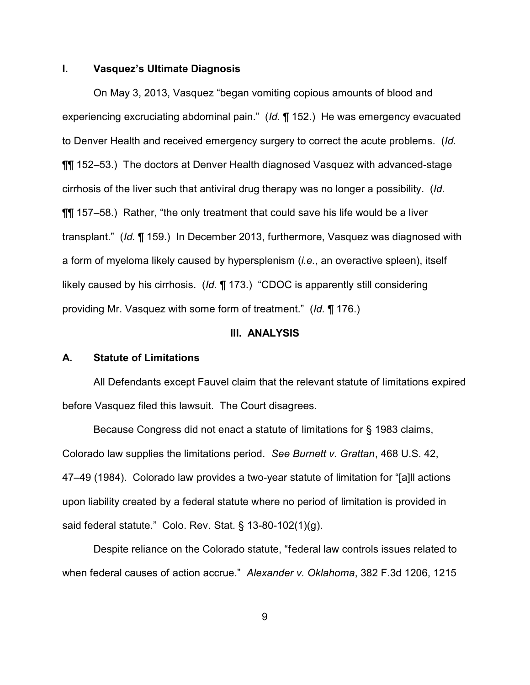## **I. Vasquez's Ultimate Diagnosis**

On May 3, 2013, Vasquez "began vomiting copious amounts of blood and experiencing excruciating abdominal pain." (*Id.* ¶ 152.) He was emergency evacuated to Denver Health and received emergency surgery to correct the acute problems. (*Id.* ¶¶ 152–53.) The doctors at Denver Health diagnosed Vasquez with advanced-stage cirrhosis of the liver such that antiviral drug therapy was no longer a possibility. (*Id.* ¶¶ 157–58.) Rather, "the only treatment that could save his life would be a liver transplant." (*Id.* ¶ 159.) In December 2013, furthermore, Vasquez was diagnosed with a form of myeloma likely caused by hypersplenism (*i.e.*, an overactive spleen), itself likely caused by his cirrhosis. (*Id.* ¶ 173.) "CDOC is apparently still considering providing Mr. Vasquez with some form of treatment." (*Id.* ¶ 176.)

## **III. ANALYSIS**

### **A. Statute of Limitations**

All Defendants except Fauvel claim that the relevant statute of limitations expired before Vasquez filed this lawsuit. The Court disagrees.

Because Congress did not enact a statute of limitations for § 1983 claims, Colorado law supplies the limitations period. *See Burnett v. Grattan*, 468 U.S. 42, 47–49 (1984). Colorado law provides a two-year statute of limitation for "[a]ll actions upon liability created by a federal statute where no period of limitation is provided in said federal statute." Colo. Rev. Stat. § 13-80-102(1)(g).

Despite reliance on the Colorado statute, "federal law controls issues related to when federal causes of action accrue." *Alexander v. Oklahoma*, 382 F.3d 1206, 1215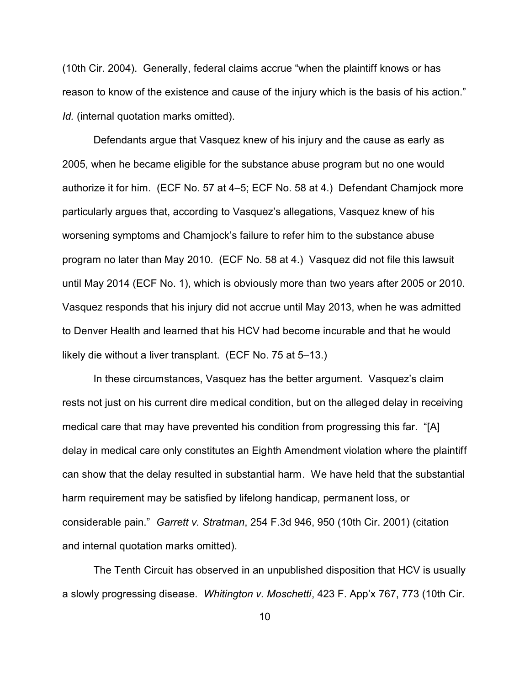(10th Cir. 2004). Generally, federal claims accrue "when the plaintiff knows or has reason to know of the existence and cause of the injury which is the basis of his action." *Id.* (internal quotation marks omitted).

Defendants argue that Vasquez knew of his injury and the cause as early as 2005, when he became eligible for the substance abuse program but no one would authorize it for him. (ECF No. 57 at 4–5; ECF No. 58 at 4.) Defendant Chamjock more particularly argues that, according to Vasquez's allegations, Vasquez knew of his worsening symptoms and Chamjock's failure to refer him to the substance abuse program no later than May 2010. (ECF No. 58 at 4.) Vasquez did not file this lawsuit until May 2014 (ECF No. 1), which is obviously more than two years after 2005 or 2010. Vasquez responds that his injury did not accrue until May 2013, when he was admitted to Denver Health and learned that his HCV had become incurable and that he would likely die without a liver transplant. (ECF No. 75 at 5–13.)

In these circumstances, Vasquez has the better argument. Vasquez's claim rests not just on his current dire medical condition, but on the alleged delay in receiving medical care that may have prevented his condition from progressing this far. "[A] delay in medical care only constitutes an Eighth Amendment violation where the plaintiff can show that the delay resulted in substantial harm. We have held that the substantial harm requirement may be satisfied by lifelong handicap, permanent loss, or considerable pain." *Garrett v. Stratman*, 254 F.3d 946, 950 (10th Cir. 2001) (citation and internal quotation marks omitted).

The Tenth Circuit has observed in an unpublished disposition that HCV is usually a slowly progressing disease. *Whitington v. Moschetti*, 423 F. App'x 767, 773 (10th Cir.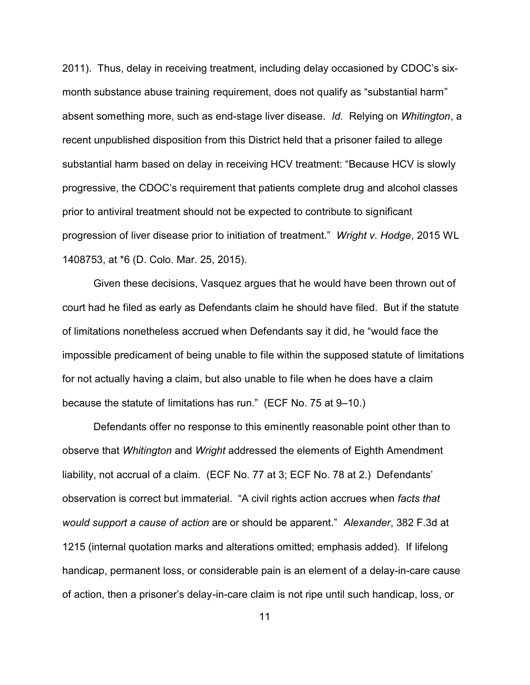2011). Thus, delay in receiving treatment, including delay occasioned by CDOC's sixmonth substance abuse training requirement, does not qualify as "substantial harm" absent something more, such as end-stage liver disease. *Id.* Relying on *Whitington*, a recent unpublished disposition from this District held that a prisoner failed to allege substantial harm based on delay in receiving HCV treatment: "Because HCV is slowly progressive, the CDOC's requirement that patients complete drug and alcohol classes prior to antiviral treatment should not be expected to contribute to significant progression of liver disease prior to initiation of treatment." *Wright v. Hodge*, 2015 WL 1408753, at \*6 (D. Colo. Mar. 25, 2015).

Given these decisions, Vasquez argues that he would have been thrown out of court had he filed as early as Defendants claim he should have filed. But if the statute of limitations nonetheless accrued when Defendants say it did, he "would face the impossible predicament of being unable to file within the supposed statute of limitations for not actually having a claim, but also unable to file when he does have a claim because the statute of limitations has run." (ECF No. 75 at 9–10.)

Defendants offer no response to this eminently reasonable point other than to observe that *Whitington* and *Wright* addressed the elements of Eighth Amendment liability, not accrual of a claim. (ECF No. 77 at 3; ECF No. 78 at 2.) Defendants' observation is correct but immaterial. "A civil rights action accrues when *facts that would support a cause of action* are or should be apparent." *Alexander*, 382 F.3d at 1215 (internal quotation marks and alterations omitted; emphasis added). If lifelong handicap, permanent loss, or considerable pain is an element of a delay-in-care cause of action, then a prisoner's delay-in-care claim is not ripe until such handicap, loss, or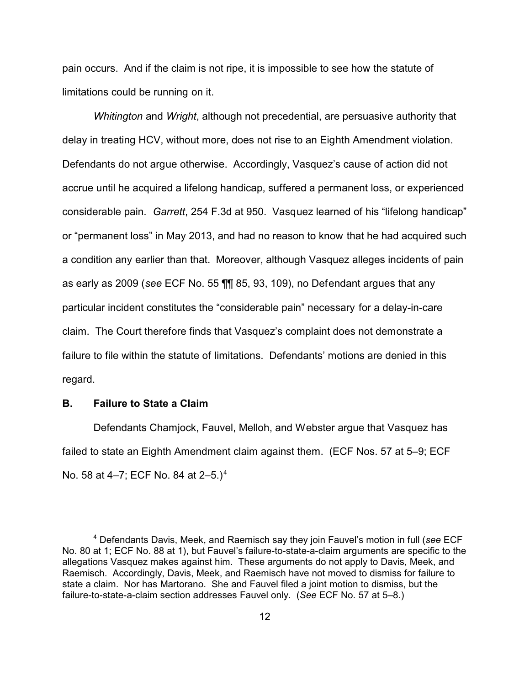pain occurs. And if the claim is not ripe, it is impossible to see how the statute of limitations could be running on it.

*Whitington* and *Wright*, although not precedential, are persuasive authority that delay in treating HCV, without more, does not rise to an Eighth Amendment violation. Defendants do not argue otherwise. Accordingly, Vasquez's cause of action did not accrue until he acquired a lifelong handicap, suffered a permanent loss, or experienced considerable pain. *Garrett*, 254 F.3d at 950. Vasquez learned of his "lifelong handicap" or "permanent loss" in May 2013, and had no reason to know that he had acquired such a condition any earlier than that. Moreover, although Vasquez alleges incidents of pain as early as 2009 (*see* ECF No. 55 ¶¶ 85, 93, 109), no Defendant argues that any particular incident constitutes the "considerable pain" necessary for a delay-in-care claim. The Court therefore finds that Vasquez's complaint does not demonstrate a failure to file within the statute of limitations. Defendants' motions are denied in this regard.

### **B. Failure to State a Claim**

Defendants Chamjock, Fauvel, Melloh, and Webster argue that Vasquez has failed to state an Eighth Amendment claim against them. (ECF Nos. 57 at 5–9; ECF No. 58 at 4–7; ECF No. 84 at  $2-5.$ )<sup>4</sup>

<sup>4</sup> Defendants Davis, Meek, and Raemisch say they join Fauvel's motion in full (*see* ECF No. 80 at 1; ECF No. 88 at 1), but Fauvel's failure-to-state-a-claim arguments are specific to the allegations Vasquez makes against him. These arguments do not apply to Davis, Meek, and Raemisch. Accordingly, Davis, Meek, and Raemisch have not moved to dismiss for failure to state a claim. Nor has Martorano. She and Fauvel filed a joint motion to dismiss, but the failure-to-state-a-claim section addresses Fauvel only. (*See* ECF No. 57 at 5–8.)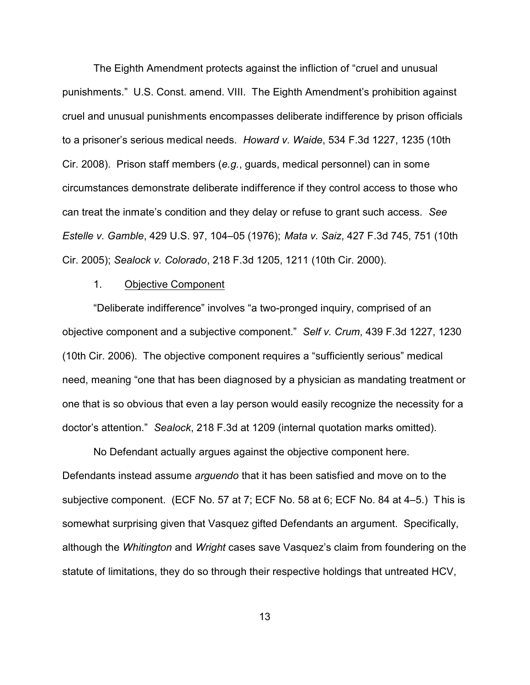The Eighth Amendment protects against the infliction of "cruel and unusual punishments." U.S. Const. amend. VIII. The Eighth Amendment's prohibition against cruel and unusual punishments encompasses deliberate indifference by prison officials to a prisoner's serious medical needs. *Howard v. Waide*, 534 F.3d 1227, 1235 (10th Cir. 2008). Prison staff members (*e.g.*, guards, medical personnel) can in some circumstances demonstrate deliberate indifference if they control access to those who can treat the inmate's condition and they delay or refuse to grant such access. *See Estelle v. Gamble*, 429 U.S. 97, 104–05 (1976); *Mata v. Saiz*, 427 F.3d 745, 751 (10th Cir. 2005); *Sealock v. Colorado*, 218 F.3d 1205, 1211 (10th Cir. 2000).

### 1. Objective Component

"Deliberate indifference" involves "a two-pronged inquiry, comprised of an objective component and a subjective component." *Self v. Crum*, 439 F.3d 1227, 1230 (10th Cir. 2006). The objective component requires a "sufficiently serious" medical need, meaning "one that has been diagnosed by a physician as mandating treatment or one that is so obvious that even a lay person would easily recognize the necessity for a doctor's attention." *Sealock*, 218 F.3d at 1209 (internal quotation marks omitted).

No Defendant actually argues against the objective component here. Defendants instead assume *arguendo* that it has been satisfied and move on to the subjective component. (ECF No. 57 at 7; ECF No. 58 at 6; ECF No. 84 at 4–5.) This is somewhat surprising given that Vasquez gifted Defendants an argument. Specifically, although the *Whitington* and *Wright* cases save Vasquez's claim from foundering on the statute of limitations, they do so through their respective holdings that untreated HCV,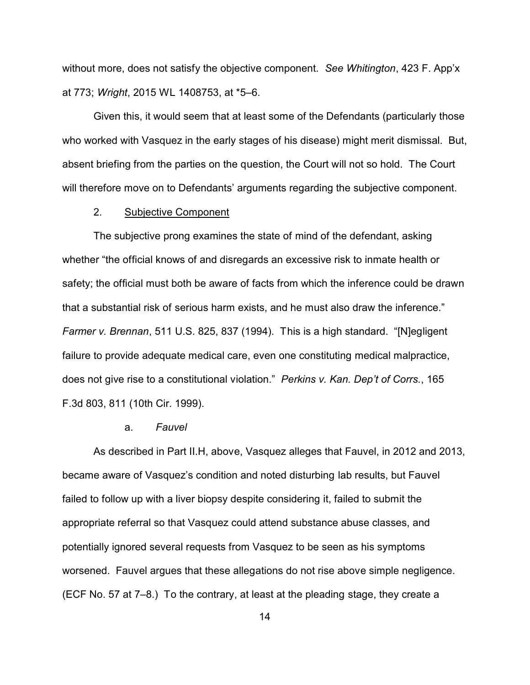without more, does not satisfy the objective component. *See Whitington*, 423 F. App'x at 773; *Wright*, 2015 WL 1408753, at \*5–6.

Given this, it would seem that at least some of the Defendants (particularly those who worked with Vasquez in the early stages of his disease) might merit dismissal. But, absent briefing from the parties on the question, the Court will not so hold. The Court will therefore move on to Defendants' arguments regarding the subjective component.

### 2. Subjective Component

The subjective prong examines the state of mind of the defendant, asking whether "the official knows of and disregards an excessive risk to inmate health or safety; the official must both be aware of facts from which the inference could be drawn that a substantial risk of serious harm exists, and he must also draw the inference." *Farmer v. Brennan*, 511 U.S. 825, 837 (1994). This is a high standard. "[N]egligent failure to provide adequate medical care, even one constituting medical malpractice, does not give rise to a constitutional violation." *Perkins v. Kan. Dep't of Corrs.*, 165 F.3d 803, 811 (10th Cir. 1999).

#### a. *Fauvel*

As described in Part II.H, above, Vasquez alleges that Fauvel, in 2012 and 2013, became aware of Vasquez's condition and noted disturbing lab results, but Fauvel failed to follow up with a liver biopsy despite considering it, failed to submit the appropriate referral so that Vasquez could attend substance abuse classes, and potentially ignored several requests from Vasquez to be seen as his symptoms worsened. Fauvel argues that these allegations do not rise above simple negligence. (ECF No. 57 at 7–8.) To the contrary, at least at the pleading stage, they create a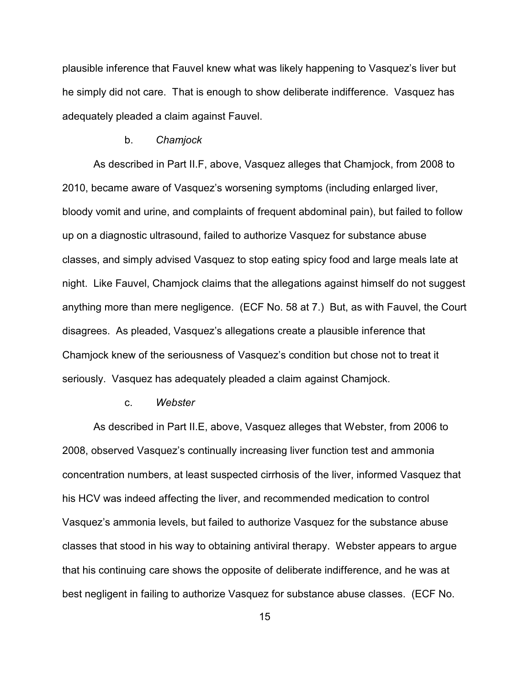plausible inference that Fauvel knew what was likely happening to Vasquez's liver but he simply did not care. That is enough to show deliberate indifference. Vasquez has adequately pleaded a claim against Fauvel.

#### b. *Chamjock*

As described in Part II.F, above, Vasquez alleges that Chamjock, from 2008 to 2010, became aware of Vasquez's worsening symptoms (including enlarged liver, bloody vomit and urine, and complaints of frequent abdominal pain), but failed to follow up on a diagnostic ultrasound, failed to authorize Vasquez for substance abuse classes, and simply advised Vasquez to stop eating spicy food and large meals late at night. Like Fauvel, Chamjock claims that the allegations against himself do not suggest anything more than mere negligence. (ECF No. 58 at 7.) But, as with Fauvel, the Court disagrees. As pleaded, Vasquez's allegations create a plausible inference that Chamjock knew of the seriousness of Vasquez's condition but chose not to treat it seriously. Vasquez has adequately pleaded a claim against Chamjock.

#### c. *Webster*

As described in Part II.E, above, Vasquez alleges that Webster, from 2006 to 2008, observed Vasquez's continually increasing liver function test and ammonia concentration numbers, at least suspected cirrhosis of the liver, informed Vasquez that his HCV was indeed affecting the liver, and recommended medication to control Vasquez's ammonia levels, but failed to authorize Vasquez for the substance abuse classes that stood in his way to obtaining antiviral therapy. Webster appears to argue that his continuing care shows the opposite of deliberate indifference, and he was at best negligent in failing to authorize Vasquez for substance abuse classes. (ECF No.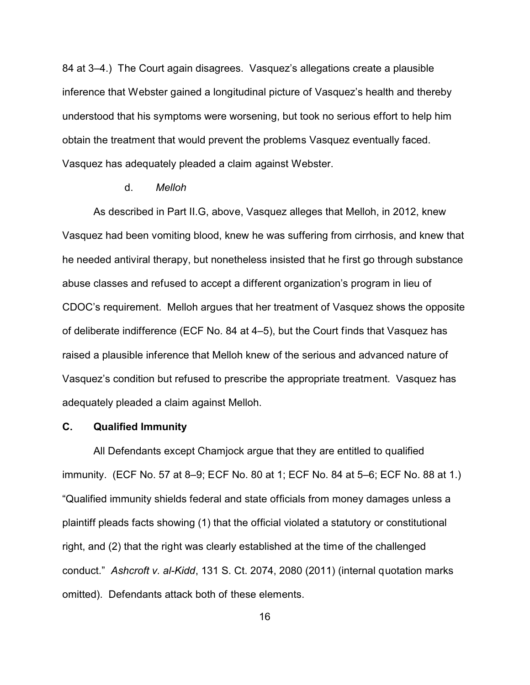84 at 3–4.) The Court again disagrees. Vasquez's allegations create a plausible inference that Webster gained a longitudinal picture of Vasquez's health and thereby understood that his symptoms were worsening, but took no serious effort to help him obtain the treatment that would prevent the problems Vasquez eventually faced. Vasquez has adequately pleaded a claim against Webster.

## d. *Melloh*

As described in Part II.G, above, Vasquez alleges that Melloh, in 2012, knew Vasquez had been vomiting blood, knew he was suffering from cirrhosis, and knew that he needed antiviral therapy, but nonetheless insisted that he first go through substance abuse classes and refused to accept a different organization's program in lieu of CDOC's requirement. Melloh argues that her treatment of Vasquez shows the opposite of deliberate indifference (ECF No. 84 at 4–5), but the Court finds that Vasquez has raised a plausible inference that Melloh knew of the serious and advanced nature of Vasquez's condition but refused to prescribe the appropriate treatment. Vasquez has adequately pleaded a claim against Melloh.

## **C. Qualified Immunity**

All Defendants except Chamjock argue that they are entitled to qualified immunity. (ECF No. 57 at 8–9; ECF No. 80 at 1; ECF No. 84 at 5–6; ECF No. 88 at 1.) "Qualified immunity shields federal and state officials from money damages unless a plaintiff pleads facts showing (1) that the official violated a statutory or constitutional right, and (2) that the right was clearly established at the time of the challenged conduct." *Ashcroft v. al-Kidd*, 131 S. Ct. 2074, 2080 (2011) (internal quotation marks omitted). Defendants attack both of these elements.